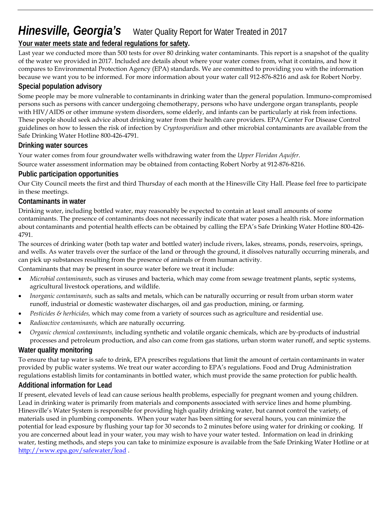# *Hinesville, Georgia's* Water Quality Report for Water Treated in 2017

## **Your water meets state and federal regulations for safety.**

Last year we conducted more than 500 tests for over 80 drinking water contaminants. This report is a snapshot of the quality of the water we provided in 2017. Included are details about where your water comes from, what it contains, and how it compares to Environmental Protection Agency (EPA) standards. We are committed to providing you with the information because we want you to be informed. For more information about your water call 912-876-8216 and ask for Robert Norby.

## **Special population advisory**

Some people may be more vulnerable to contaminants in drinking water than the general population. Immuno-compromised persons such as persons with cancer undergoing chemotherapy, persons who have undergone organ transplants, people with HIV/AIDS or other immune system disorders, some elderly, and infants can be particularly at risk from infections. These people should seek advice about drinking water from their health care providers. EPA/Center For Disease Control guidelines on how to lessen the risk of infection by *Cryptosporidium* and other microbial contaminants are available from the Safe Drinking Water Hotline 800-426-4791.

## **Drinking water sources**

Your water comes from four groundwater wells withdrawing water from the *Upper Floridan Aquifer*.

Source water assessment information may be obtained from contacting Robert Norby at 912-876-8216.

## **Public participation opportunities**

Our City Council meets the first and third Thursday of each month at the Hinesville City Hall. Please feel free to participate in these meetings.

### **Contaminants in water**

Drinking water, including bottled water, may reasonably be expected to contain at least small amounts of some contaminants. The presence of contaminants does not necessarily indicate that water poses a health risk. More information about contaminants and potential health effects can be obtained by calling the EPA's Safe Drinking Water Hotline 800-426- 4791.

The sources of drinking water (both tap water and bottled water) include rivers, lakes, streams, ponds, reservoirs, springs, and wells. As water travels over the surface of the land or through the ground, it dissolves naturally occurring minerals, and can pick up substances resulting from the presence of animals or from human activity.

Contaminants that may be present in source water before we treat it include:

- *Microbial contaminants*, such as viruses and bacteria, which may come from sewage treatment plants, septic systems, agricultural livestock operations, and wildlife.
- *Inorganic contaminants,* such as salts and metals, which can be naturally occurring or result from urban storm water runoff, industrial or domestic wastewater discharges, oil and gas production, mining, or farming.
- *Pesticides & herbicides,* which may come from a variety of sources such as agriculture and residential use.
- *Radioactive contaminants,* which are naturally occurring.
- *Organic chemical contaminants,* including synthetic and volatile organic chemicals, which are by-products of industrial processes and petroleum production, and also can come from gas stations, urban storm water runoff, and septic systems.

## **Water quality monitoring**

To ensure that tap water is safe to drink, EPA prescribes regulations that limit the amount of certain contaminants in water provided by public water systems. We treat our water according to EPA's regulations. Food and Drug Administration regulations establish limits for contaminants in bottled water, which must provide the same protection for public health.

### **Additional information for Lead**

If present, elevated levels of lead can cause serious health problems, especially for pregnant women and young children. Lead in drinking water is primarily from materials and components associated with service lines and home plumbing. Hinesville's Water System is responsible for providing high quality drinking water, but cannot control the variety, of materials used in plumbing components. When your water has been sitting for several hours, you can minimize the potential for lead exposure by flushing your tap for 30 seconds to 2 minutes before using water for drinking or cooking. If you are concerned about lead in your water, you may wish to have your water tested. Information on lead in drinking water, testing methods, and steps you can take to minimize exposure is available from the Safe Drinking Water Hotline or at <http://www.epa.gov/safewater/lead> .